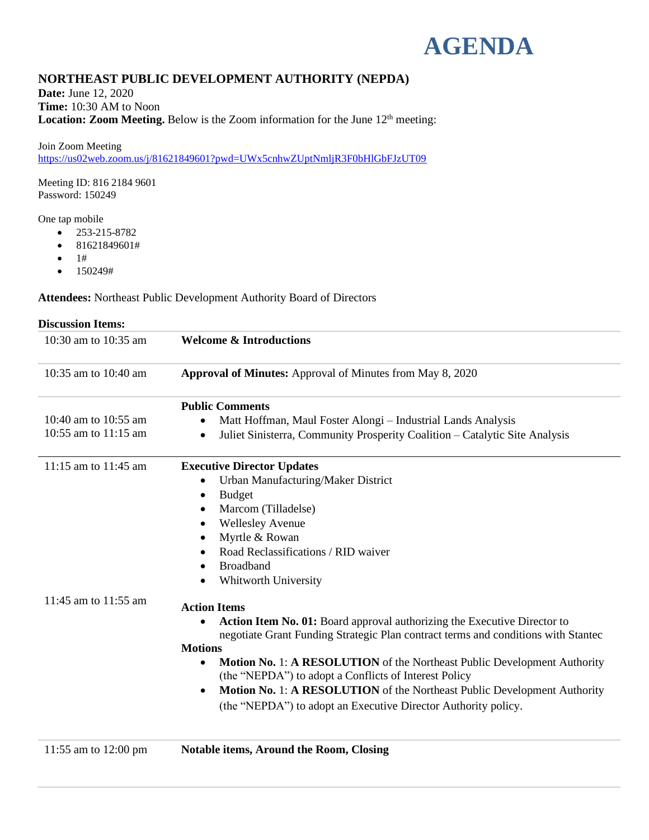

# **NORTHEAST PUBLIC DEVELOPMENT AUTHORITY (NEPDA)**

**Date:** June 12, 2020 **Time:** 10:30 AM to Noon **Location: Zoom Meeting.** Below is the Zoom information for the June 12<sup>th</sup> meeting:

Join Zoom Meeting <https://us02web.zoom.us/j/81621849601?pwd=UWx5cnhwZUptNmljR3F0bHlGbFJzUT09>

Meeting ID: 816 2184 9601 Password: 150249

One tap mobile

- 253-215-8782
- 81621849601#
- $1#$
- 150249#

**Attendees:** Northeast Public Development Authority Board of Directors

| <b>Discussion Items:</b>                     |                                                                                                                                                                                                                                                                                                                                                                                                                                                                                                                      |
|----------------------------------------------|----------------------------------------------------------------------------------------------------------------------------------------------------------------------------------------------------------------------------------------------------------------------------------------------------------------------------------------------------------------------------------------------------------------------------------------------------------------------------------------------------------------------|
| 10:30 am to 10:35 am                         | <b>Welcome &amp; Introductions</b>                                                                                                                                                                                                                                                                                                                                                                                                                                                                                   |
| 10:35 am to 10:40 am                         | Approval of Minutes: Approval of Minutes from May 8, 2020                                                                                                                                                                                                                                                                                                                                                                                                                                                            |
| 10:40 am to 10:55 am<br>10:55 am to 11:15 am | <b>Public Comments</b><br>Matt Hoffman, Maul Foster Alongi – Industrial Lands Analysis<br>Juliet Sinisterra, Community Prosperity Coalition - Catalytic Site Analysis<br>$\bullet$                                                                                                                                                                                                                                                                                                                                   |
| 11:15 am to $11:45$ am                       | <b>Executive Director Updates</b><br>Urban Manufacturing/Maker District<br><b>Budget</b><br>$\bullet$<br>Marcom (Tilladelse)<br>$\bullet$<br><b>Wellesley Avenue</b><br>٠<br>Myrtle & Rowan<br>Road Reclassifications / RID waiver<br><b>Broadband</b><br>٠<br>Whitworth University                                                                                                                                                                                                                                  |
| 11:45 am to 11:55 am                         | <b>Action Items</b><br>Action Item No. 01: Board approval authorizing the Executive Director to<br>negotiate Grant Funding Strategic Plan contract terms and conditions with Stantec<br><b>Motions</b><br><b>Motion No. 1: A RESOLUTION</b> of the Northeast Public Development Authority<br>$\bullet$<br>(the "NEPDA") to adopt a Conflicts of Interest Policy<br><b>Motion No. 1: A RESOLUTION</b> of the Northeast Public Development Authority<br>(the "NEPDA") to adopt an Executive Director Authority policy. |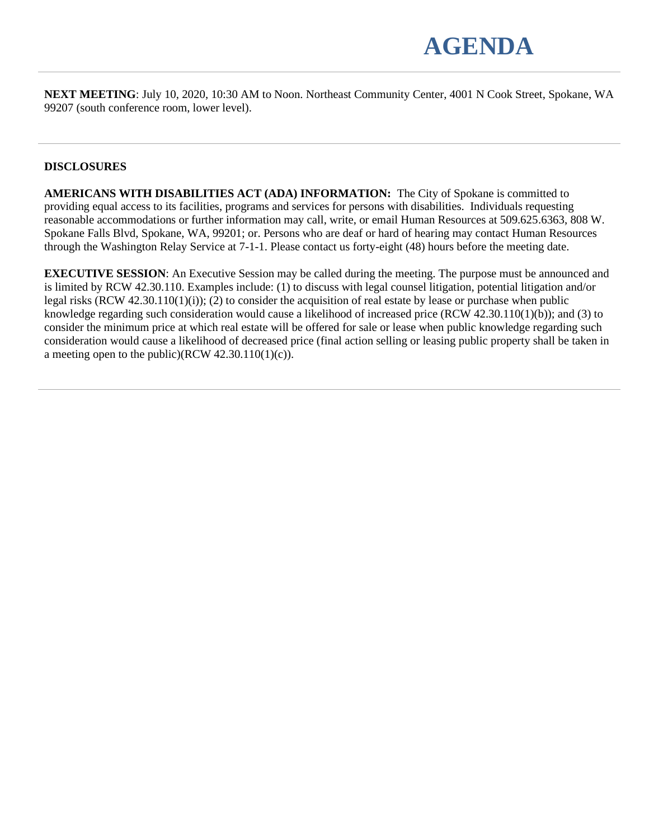

**NEXT MEETING**: July 10, 2020, 10:30 AM to Noon. Northeast Community Center, 4001 N Cook Street, Spokane, WA 99207 (south conference room, lower level).

## **DISCLOSURES**

**AMERICANS WITH DISABILITIES ACT (ADA) INFORMATION:** The City of Spokane is committed to providing equal access to its facilities, programs and services for persons with disabilities. Individuals requesting reasonable accommodations or further information may call, write, or email Human Resources at 509.625.6363, 808 W. Spokane Falls Blvd, Spokane, WA, 99201; or. Persons who are deaf or hard of hearing may contact Human Resources through the Washington Relay Service at 7-1-1. Please contact us forty-eight (48) hours before the meeting date.

**EXECUTIVE SESSION:** An Executive Session may be called during the meeting. The purpose must be announced and is limited by RCW 42.30.110. Examples include: (1) to discuss with legal counsel litigation, potential litigation and/or legal risks (RCW 42.30.110(1)(i)); (2) to consider the acquisition of real estate by lease or purchase when public knowledge regarding such consideration would cause a likelihood of increased price (RCW 42.30.110(1)(b)); and (3) to consider the minimum price at which real estate will be offered for sale or lease when public knowledge regarding such consideration would cause a likelihood of decreased price (final action selling or leasing public property shall be taken in a meeting open to the public)(RCW  $42.30.110(1)(c)$ ).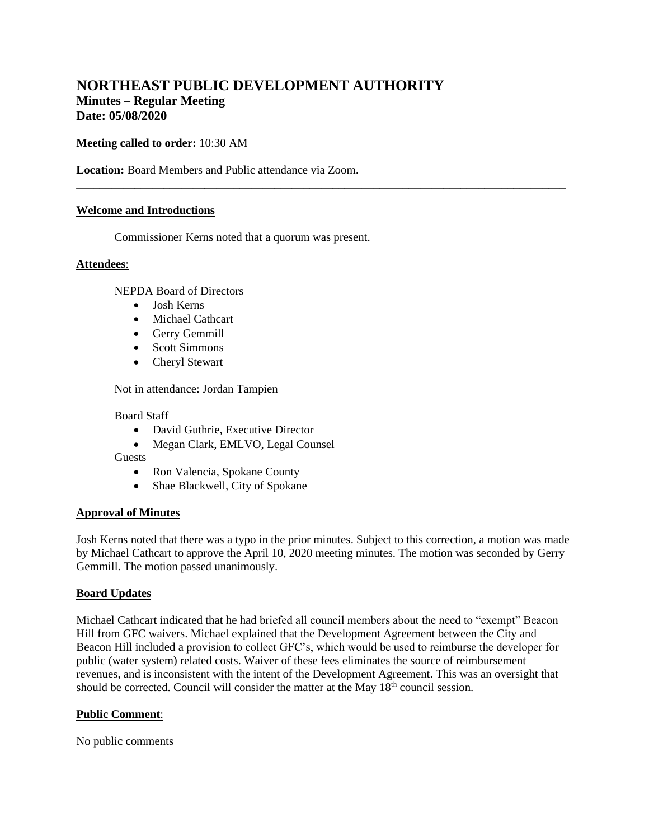## **NORTHEAST PUBLIC DEVELOPMENT AUTHORITY Minutes – Regular Meeting Date: 05/08/2020**

**Meeting called to order:** 10:30 AM

**Location:** Board Members and Public attendance via Zoom.

### **Welcome and Introductions**

Commissioner Kerns noted that a quorum was present.

#### **Attendees**:

NEPDA Board of Directors

- Josh Kerns
- Michael Cathcart
- Gerry Gemmill
- Scott Simmons
- Cheryl Stewart

Not in attendance: Jordan Tampien

#### Board Staff

- David Guthrie, Executive Director
- Megan Clark, EMLVO, Legal Counsel

Guests

- Ron Valencia, Spokane County
- Shae Blackwell, City of Spokane

### **Approval of Minutes**

Josh Kerns noted that there was a typo in the prior minutes. Subject to this correction, a motion was made by Michael Cathcart to approve the April 10, 2020 meeting minutes. The motion was seconded by Gerry Gemmill. The motion passed unanimously.

\_\_\_\_\_\_\_\_\_\_\_\_\_\_\_\_\_\_\_\_\_\_\_\_\_\_\_\_\_\_\_\_\_\_\_\_\_\_\_\_\_\_\_\_\_\_\_\_\_\_\_\_\_\_\_\_\_\_\_\_\_\_\_\_\_\_\_\_\_\_\_\_\_\_\_\_\_\_\_\_\_\_\_\_

#### **Board Updates**

Michael Cathcart indicated that he had briefed all council members about the need to "exempt" Beacon Hill from GFC waivers. Michael explained that the Development Agreement between the City and Beacon Hill included a provision to collect GFC's, which would be used to reimburse the developer for public (water system) related costs. Waiver of these fees eliminates the source of reimbursement revenues, and is inconsistent with the intent of the Development Agreement. This was an oversight that should be corrected. Council will consider the matter at the May  $18<sup>th</sup>$  council session.

### **Public Comment**:

No public comments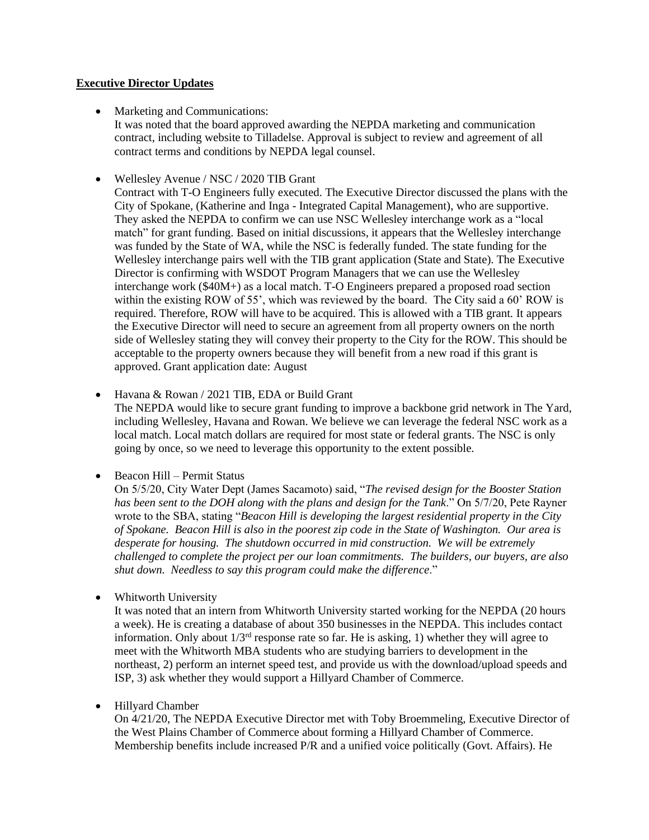## **Executive Director Updates**

• Marketing and Communications:

It was noted that the board approved awarding the NEPDA marketing and communication contract, including website to Tilladelse. Approval is subject to review and agreement of all contract terms and conditions by NEPDA legal counsel.

• Wellesley Avenue / NSC / 2020 TIB Grant

Contract with T-O Engineers fully executed. The Executive Director discussed the plans with the City of Spokane, (Katherine and Inga - Integrated Capital Management), who are supportive. They asked the NEPDA to confirm we can use NSC Wellesley interchange work as a "local match" for grant funding. Based on initial discussions, it appears that the Wellesley interchange was funded by the State of WA, while the NSC is federally funded. The state funding for the Wellesley interchange pairs well with the TIB grant application (State and State). The Executive Director is confirming with WSDOT Program Managers that we can use the Wellesley interchange work (\$40M+) as a local match. T-O Engineers prepared a proposed road section within the existing ROW of 55', which was reviewed by the board. The City said a 60' ROW is required. Therefore, ROW will have to be acquired. This is allowed with a TIB grant. It appears the Executive Director will need to secure an agreement from all property owners on the north side of Wellesley stating they will convey their property to the City for the ROW. This should be acceptable to the property owners because they will benefit from a new road if this grant is approved. Grant application date: August

• Havana & Rowan / 2021 TIB, EDA or Build Grant

The NEPDA would like to secure grant funding to improve a backbone grid network in The Yard, including Wellesley, Havana and Rowan. We believe we can leverage the federal NSC work as a local match. Local match dollars are required for most state or federal grants. The NSC is only going by once, so we need to leverage this opportunity to the extent possible.

• Beacon Hill – Permit Status

On 5/5/20, City Water Dept (James Sacamoto) said, "*The revised design for the Booster Station has been sent to the DOH along with the plans and design for the Tank*." On 5/7/20, Pete Rayner wrote to the SBA, stating "*Beacon Hill is developing the largest residential property in the City of Spokane. Beacon Hill is also in the poorest zip code in the State of Washington. Our area is desperate for housing. The shutdown occurred in mid construction. We will be extremely challenged to complete the project per our loan commitments. The builders, our buyers, are also shut down. Needless to say this program could make the difference*."

• Whitworth University

It was noted that an intern from Whitworth University started working for the NEPDA (20 hours a week). He is creating a database of about 350 businesses in the NEPDA. This includes contact information. Only about  $1/3<sup>rd</sup>$  response rate so far. He is asking, 1) whether they will agree to meet with the Whitworth MBA students who are studying barriers to development in the northeast, 2) perform an internet speed test, and provide us with the download/upload speeds and ISP, 3) ask whether they would support a Hillyard Chamber of Commerce.

### • Hillyard Chamber

On 4/21/20, The NEPDA Executive Director met with Toby Broemmeling, Executive Director of the West Plains Chamber of Commerce about forming a Hillyard Chamber of Commerce. Membership benefits include increased P/R and a unified voice politically (Govt. Affairs). He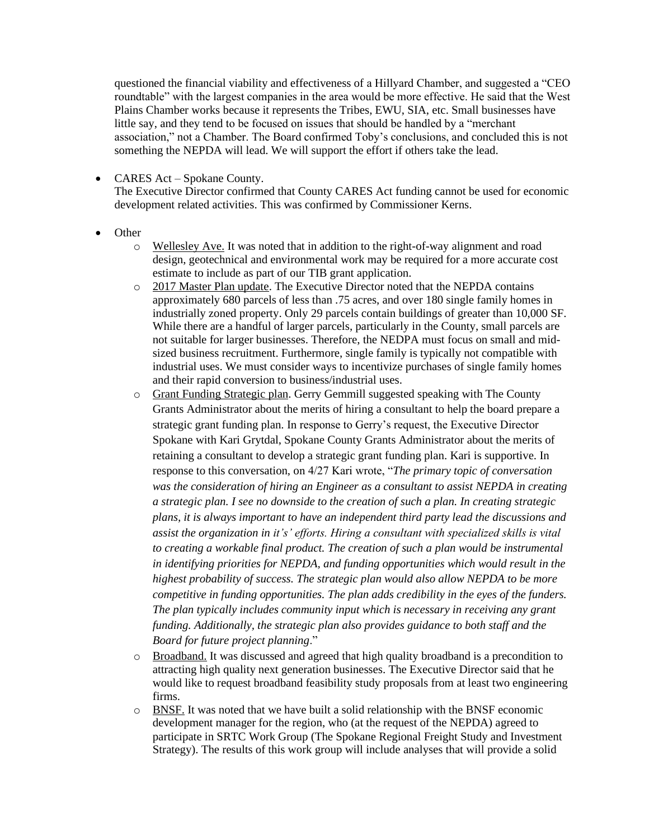questioned the financial viability and effectiveness of a Hillyard Chamber, and suggested a "CEO roundtable" with the largest companies in the area would be more effective. He said that the West Plains Chamber works because it represents the Tribes, EWU, SIA, etc. Small businesses have little say, and they tend to be focused on issues that should be handled by a "merchant association," not a Chamber. The Board confirmed Toby's conclusions, and concluded this is not something the NEPDA will lead. We will support the effort if others take the lead.

• CARES Act – Spokane County.

The Executive Director confirmed that County CARES Act funding cannot be used for economic development related activities. This was confirmed by Commissioner Kerns.

- Other
	- o Wellesley Ave. It was noted that in addition to the right-of-way alignment and road design, geotechnical and environmental work may be required for a more accurate cost estimate to include as part of our TIB grant application.
	- o 2017 Master Plan update. The Executive Director noted that the NEPDA contains approximately 680 parcels of less than .75 acres, and over 180 single family homes in industrially zoned property. Only 29 parcels contain buildings of greater than 10,000 SF. While there are a handful of larger parcels, particularly in the County, small parcels are not suitable for larger businesses. Therefore, the NEDPA must focus on small and midsized business recruitment. Furthermore, single family is typically not compatible with industrial uses. We must consider ways to incentivize purchases of single family homes and their rapid conversion to business/industrial uses.
	- o Grant Funding Strategic plan. Gerry Gemmill suggested speaking with The County Grants Administrator about the merits of hiring a consultant to help the board prepare a strategic grant funding plan. In response to Gerry's request, the Executive Director Spokane with Kari Grytdal, Spokane County Grants Administrator about the merits of retaining a consultant to develop a strategic grant funding plan. Kari is supportive. In response to this conversation, on 4/27 Kari wrote, "*The primary topic of conversation was the consideration of hiring an Engineer as a consultant to assist NEPDA in creating a strategic plan. I see no downside to the creation of such a plan. In creating strategic plans, it is always important to have an independent third party lead the discussions and assist the organization in it's' efforts. Hiring a consultant with specialized skills is vital to creating a workable final product. The creation of such a plan would be instrumental in identifying priorities for NEPDA, and funding opportunities which would result in the highest probability of success. The strategic plan would also allow NEPDA to be more competitive in funding opportunities. The plan adds credibility in the eyes of the funders. The plan typically includes community input which is necessary in receiving any grant funding. Additionally, the strategic plan also provides guidance to both staff and the Board for future project planning*."
	- o Broadband. It was discussed and agreed that high quality broadband is a precondition to attracting high quality next generation businesses. The Executive Director said that he would like to request broadband feasibility study proposals from at least two engineering firms.
	- $\circ$  BNSF. It was noted that we have built a solid relationship with the BNSF economic development manager for the region, who (at the request of the NEPDA) agreed to participate in SRTC Work Group (The Spokane Regional Freight Study and Investment Strategy). The results of this work group will include analyses that will provide a solid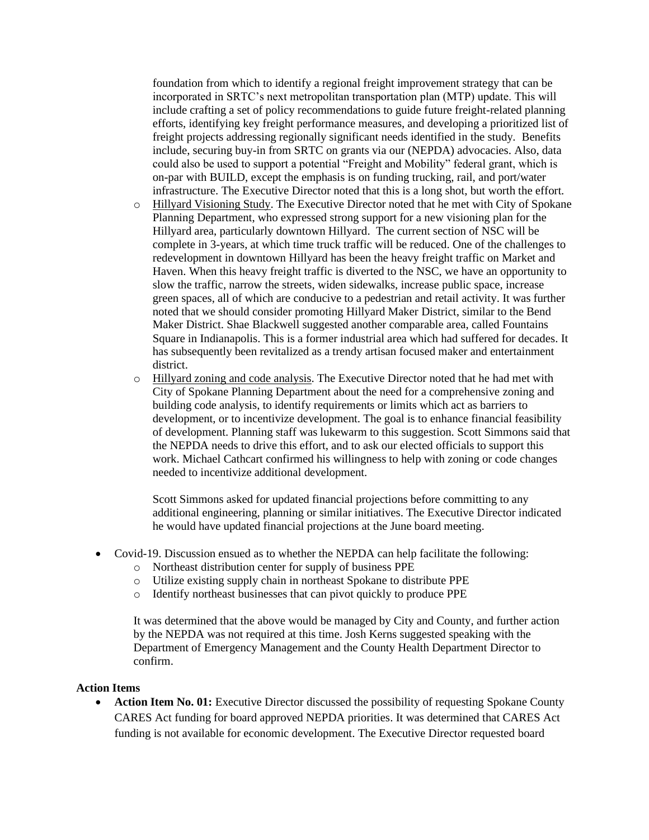foundation from which to identify a regional freight improvement strategy that can be incorporated in SRTC's next metropolitan transportation plan (MTP) update. This will include crafting a set of policy recommendations to guide future freight-related planning efforts, identifying key freight performance measures, and developing a prioritized list of freight projects addressing regionally significant needs identified in the study*.* Benefits include, securing buy-in from SRTC on grants via our (NEPDA) advocacies. Also, data could also be used to support a potential "Freight and Mobility" federal grant, which is on-par with BUILD, except the emphasis is on funding trucking, rail, and port/water infrastructure. The Executive Director noted that this is a long shot, but worth the effort.

- o Hillyard Visioning Study. The Executive Director noted that he met with City of Spokane Planning Department, who expressed strong support for a new visioning plan for the Hillyard area, particularly downtown Hillyard. The current section of NSC will be complete in 3-years, at which time truck traffic will be reduced. One of the challenges to redevelopment in downtown Hillyard has been the heavy freight traffic on Market and Haven. When this heavy freight traffic is diverted to the NSC, we have an opportunity to slow the traffic, narrow the streets, widen sidewalks, increase public space, increase green spaces, all of which are conducive to a pedestrian and retail activity. It was further noted that we should consider promoting Hillyard Maker District, similar to the Bend Maker District. Shae Blackwell suggested another comparable area, called Fountains Square in Indianapolis. This is a former industrial area which had suffered for decades. It has subsequently been revitalized as a trendy artisan focused maker and entertainment district.
- o Hillyard zoning and code analysis. The Executive Director noted that he had met with City of Spokane Planning Department about the need for a comprehensive zoning and building code analysis, to identify requirements or limits which act as barriers to development, or to incentivize development. The goal is to enhance financial feasibility of development. Planning staff was lukewarm to this suggestion. Scott Simmons said that the NEPDA needs to drive this effort, and to ask our elected officials to support this work. Michael Cathcart confirmed his willingness to help with zoning or code changes needed to incentivize additional development.

Scott Simmons asked for updated financial projections before committing to any additional engineering, planning or similar initiatives. The Executive Director indicated he would have updated financial projections at the June board meeting.

- Covid-19. Discussion ensued as to whether the NEPDA can help facilitate the following:
	- o Northeast distribution center for supply of business PPE
	- o Utilize existing supply chain in northeast Spokane to distribute PPE
	- o Identify northeast businesses that can pivot quickly to produce PPE

It was determined that the above would be managed by City and County, and further action by the NEPDA was not required at this time. Josh Kerns suggested speaking with the Department of Emergency Management and the County Health Department Director to confirm.

#### **Action Items**

• **Action Item No. 01:** Executive Director discussed the possibility of requesting Spokane County CARES Act funding for board approved NEPDA priorities. It was determined that CARES Act funding is not available for economic development. The Executive Director requested board